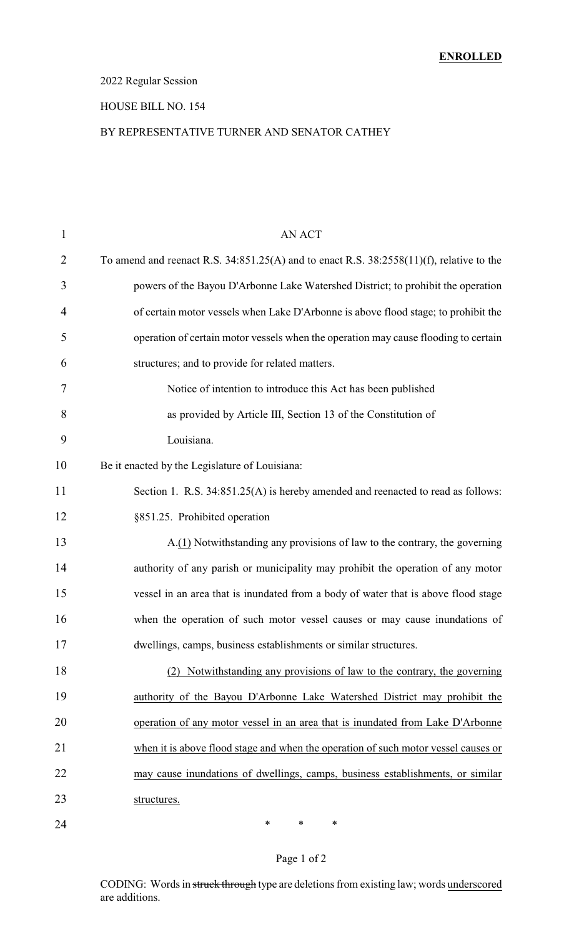### 2022 Regular Session

### HOUSE BILL NO. 154

#### BY REPRESENTATIVE TURNER AND SENATOR CATHEY

| $\mathbf{1}$ | <b>AN ACT</b>                                                                                 |
|--------------|-----------------------------------------------------------------------------------------------|
| 2            | To amend and reenact R.S. $34:851.25(A)$ and to enact R.S. $38:2558(11)(f)$ , relative to the |
| 3            | powers of the Bayou D'Arbonne Lake Watershed District; to prohibit the operation              |
| 4            | of certain motor vessels when Lake D'Arbonne is above flood stage; to prohibit the            |
| 5            | operation of certain motor vessels when the operation may cause flooding to certain           |
| 6            | structures; and to provide for related matters.                                               |
| 7            | Notice of intention to introduce this Act has been published                                  |
| 8            | as provided by Article III, Section 13 of the Constitution of                                 |
| 9            | Louisiana.                                                                                    |
| 10           | Be it enacted by the Legislature of Louisiana:                                                |
| 11           | Section 1. R.S. 34:851.25(A) is hereby amended and reenacted to read as follows:              |
| 12           | §851.25. Prohibited operation                                                                 |
| 13           | A.(1) Notwithstanding any provisions of law to the contrary, the governing                    |
| 14           | authority of any parish or municipality may prohibit the operation of any motor               |
| 15           | vessel in an area that is inundated from a body of water that is above flood stage            |
| 16           | when the operation of such motor vessel causes or may cause inundations of                    |
| 17           | dwellings, camps, business establishments or similar structures.                              |
| 18           | (2) Notwithstanding any provisions of law to the contrary, the governing                      |
| 19           | authority of the Bayou D'Arbonne Lake Watershed District may prohibit the                     |
| 20           | operation of any motor vessel in an area that is inundated from Lake D'Arbonne                |
| 21           | when it is above flood stage and when the operation of such motor vessel causes or            |
| 22           | may cause inundations of dwellings, camps, business establishments, or similar                |
| 23           | structures.                                                                                   |
| 24           | ∗<br>$\ast$<br>∗                                                                              |

## Page 1 of 2

CODING: Words in struck through type are deletions from existing law; words underscored are additions.